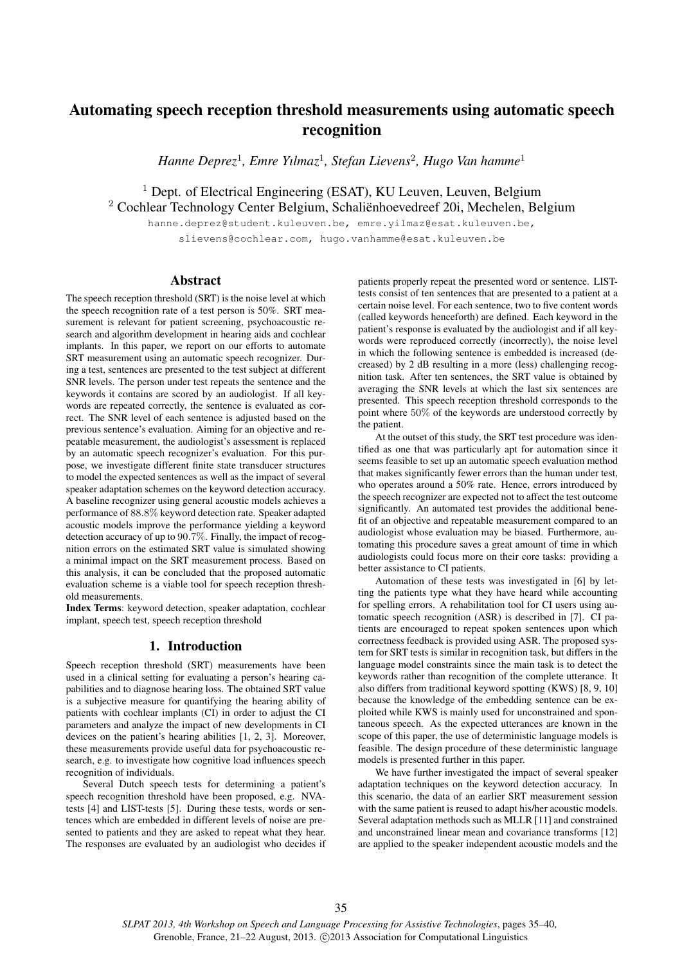# Automating speech reception threshold measurements using automatic speech recognition

*Hanne Deprez*<sup>1</sup> *, Emre Yılmaz*<sup>1</sup> *, Stefan Lievens*<sup>2</sup> *, Hugo Van hamme*<sup>1</sup>

<sup>1</sup> Dept. of Electrical Engineering (ESAT), KU Leuven, Leuven, Belgium <sup>2</sup> Cochlear Technology Center Belgium, Schaliënhoevedreef 20i, Mechelen, Belgium

hanne.deprez@student.kuleuven.be, emre.yilmaz@esat.kuleuven.be, slievens@cochlear.com, hugo.vanhamme@esat.kuleuven.be

# Abstract

The speech reception threshold (SRT) is the noise level at which the speech recognition rate of a test person is 50%. SRT measurement is relevant for patient screening, psychoacoustic research and algorithm development in hearing aids and cochlear implants. In this paper, we report on our efforts to automate SRT measurement using an automatic speech recognizer. During a test, sentences are presented to the test subject at different SNR levels. The person under test repeats the sentence and the keywords it contains are scored by an audiologist. If all keywords are repeated correctly, the sentence is evaluated as correct. The SNR level of each sentence is adjusted based on the previous sentence's evaluation. Aiming for an objective and repeatable measurement, the audiologist's assessment is replaced by an automatic speech recognizer's evaluation. For this purpose, we investigate different finite state transducer structures to model the expected sentences as well as the impact of several speaker adaptation schemes on the keyword detection accuracy. A baseline recognizer using general acoustic models achieves a performance of 88.8% keyword detection rate. Speaker adapted acoustic models improve the performance yielding a keyword detection accuracy of up to 90.7%. Finally, the impact of recognition errors on the estimated SRT value is simulated showing a minimal impact on the SRT measurement process. Based on this analysis, it can be concluded that the proposed automatic evaluation scheme is a viable tool for speech reception threshold measurements.

Index Terms: keyword detection, speaker adaptation, cochlear implant, speech test, speech reception threshold

## 1. Introduction

Speech reception threshold (SRT) measurements have been used in a clinical setting for evaluating a person's hearing capabilities and to diagnose hearing loss. The obtained SRT value is a subjective measure for quantifying the hearing ability of patients with cochlear implants (CI) in order to adjust the CI parameters and analyze the impact of new developments in CI devices on the patient's hearing abilities [1, 2, 3]. Moreover, these measurements provide useful data for psychoacoustic research, e.g. to investigate how cognitive load influences speech recognition of individuals.

Several Dutch speech tests for determining a patient's speech recognition threshold have been proposed, e.g. NVAtests [4] and LIST-tests [5]. During these tests, words or sentences which are embedded in different levels of noise are presented to patients and they are asked to repeat what they hear. The responses are evaluated by an audiologist who decides if

patients properly repeat the presented word or sentence. LISTtests consist of ten sentences that are presented to a patient at a certain noise level. For each sentence, two to five content words (called keywords henceforth) are defined. Each keyword in the patient's response is evaluated by the audiologist and if all keywords were reproduced correctly (incorrectly), the noise level in which the following sentence is embedded is increased (decreased) by 2 dB resulting in a more (less) challenging recognition task. After ten sentences, the SRT value is obtained by averaging the SNR levels at which the last six sentences are presented. This speech reception threshold corresponds to the point where 50% of the keywords are understood correctly by the patient.

At the outset of this study, the SRT test procedure was identified as one that was particularly apt for automation since it seems feasible to set up an automatic speech evaluation method that makes significantly fewer errors than the human under test, who operates around a 50% rate. Hence, errors introduced by the speech recognizer are expected not to affect the test outcome significantly. An automated test provides the additional benefit of an objective and repeatable measurement compared to an audiologist whose evaluation may be biased. Furthermore, automating this procedure saves a great amount of time in which audiologists could focus more on their core tasks: providing a better assistance to CI patients.

Automation of these tests was investigated in [6] by letting the patients type what they have heard while accounting for spelling errors. A rehabilitation tool for CI users using automatic speech recognition (ASR) is described in [7]. CI patients are encouraged to repeat spoken sentences upon which correctness feedback is provided using ASR. The proposed system for SRT tests is similar in recognition task, but differs in the language model constraints since the main task is to detect the keywords rather than recognition of the complete utterance. It also differs from traditional keyword spotting (KWS) [8, 9, 10] because the knowledge of the embedding sentence can be exploited while KWS is mainly used for unconstrained and spontaneous speech. As the expected utterances are known in the scope of this paper, the use of deterministic language models is feasible. The design procedure of these deterministic language models is presented further in this paper.

We have further investigated the impact of several speaker adaptation techniques on the keyword detection accuracy. In this scenario, the data of an earlier SRT measurement session with the same patient is reused to adapt his/her acoustic models. Several adaptation methods such as MLLR [11] and constrained and unconstrained linear mean and covariance transforms [12] are applied to the speaker independent acoustic models and the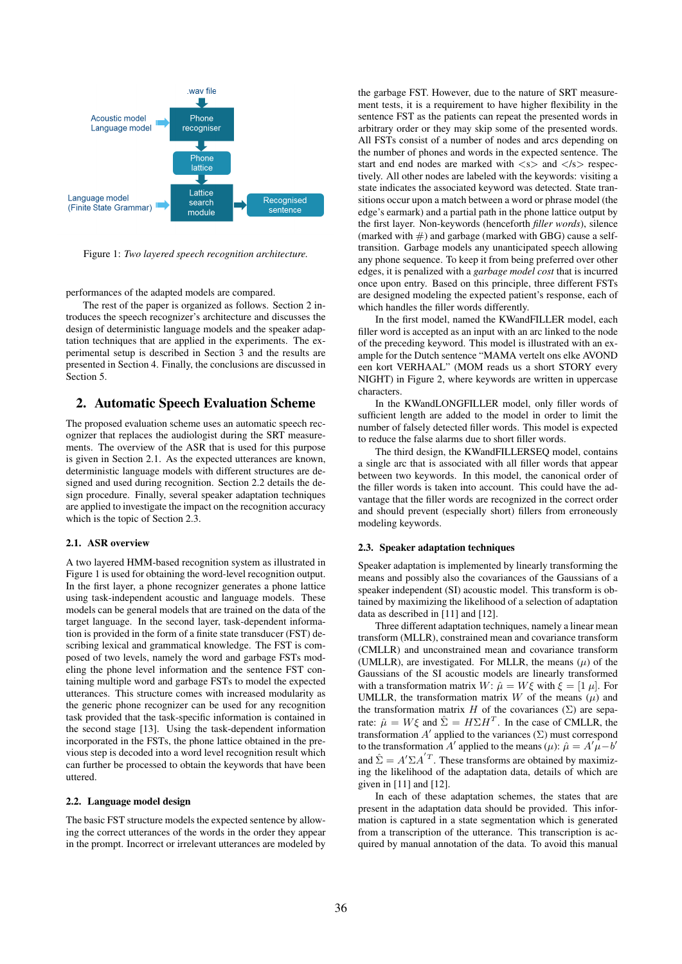

Figure 1: *Two layered speech recognition architecture.*

performances of the adapted models are compared.

The rest of the paper is organized as follows. Section 2 introduces the speech recognizer's architecture and discusses the design of deterministic language models and the speaker adaptation techniques that are applied in the experiments. The experimental setup is described in Section 3 and the results are presented in Section 4. Finally, the conclusions are discussed in Section 5.

## 2. Automatic Speech Evaluation Scheme

The proposed evaluation scheme uses an automatic speech recognizer that replaces the audiologist during the SRT measurements. The overview of the ASR that is used for this purpose is given in Section 2.1. As the expected utterances are known, deterministic language models with different structures are designed and used during recognition. Section 2.2 details the design procedure. Finally, several speaker adaptation techniques are applied to investigate the impact on the recognition accuracy which is the topic of Section 2.3.

## 2.1. ASR overview

A two layered HMM-based recognition system as illustrated in Figure 1 is used for obtaining the word-level recognition output. In the first layer, a phone recognizer generates a phone lattice using task-independent acoustic and language models. These models can be general models that are trained on the data of the target language. In the second layer, task-dependent information is provided in the form of a finite state transducer (FST) describing lexical and grammatical knowledge. The FST is composed of two levels, namely the word and garbage FSTs modeling the phone level information and the sentence FST containing multiple word and garbage FSTs to model the expected utterances. This structure comes with increased modularity as the generic phone recognizer can be used for any recognition task provided that the task-specific information is contained in the second stage [13]. Using the task-dependent information incorporated in the FSTs, the phone lattice obtained in the previous step is decoded into a word level recognition result which can further be processed to obtain the keywords that have been uttered.

#### 2.2. Language model design

The basic FST structure models the expected sentence by allowing the correct utterances of the words in the order they appear in the prompt. Incorrect or irrelevant utterances are modeled by

the garbage FST. However, due to the nature of SRT measurement tests, it is a requirement to have higher flexibility in the sentence FST as the patients can repeat the presented words in arbitrary order or they may skip some of the presented words. All FSTs consist of a number of nodes and arcs depending on the number of phones and words in the expected sentence. The start and end nodes are marked with  $\langle s \rangle$  and  $\langle s \rangle$  respectively. All other nodes are labeled with the keywords: visiting a state indicates the associated keyword was detected. State transitions occur upon a match between a word or phrase model (the edge's earmark) and a partial path in the phone lattice output by the first layer. Non-keywords (henceforth *filler words*), silence (marked with  $\#$ ) and garbage (marked with GBG) cause a selftransition. Garbage models any unanticipated speech allowing any phone sequence. To keep it from being preferred over other edges, it is penalized with a *garbage model cost* that is incurred once upon entry. Based on this principle, three different FSTs are designed modeling the expected patient's response, each of which handles the filler words differently.

In the first model, named the KWandFILLER model, each filler word is accepted as an input with an arc linked to the node of the preceding keyword. This model is illustrated with an example for the Dutch sentence "MAMA vertelt ons elke AVOND een kort VERHAAL" (MOM reads us a short STORY every NIGHT) in Figure 2, where keywords are written in uppercase characters.

In the KWandLONGFILLER model, only filler words of sufficient length are added to the model in order to limit the number of falsely detected filler words. This model is expected to reduce the false alarms due to short filler words.

The third design, the KWandFILLERSEQ model, contains a single arc that is associated with all filler words that appear between two keywords. In this model, the canonical order of the filler words is taken into account. This could have the advantage that the filler words are recognized in the correct order and should prevent (especially short) fillers from erroneously modeling keywords.

#### 2.3. Speaker adaptation techniques

Speaker adaptation is implemented by linearly transforming the means and possibly also the covariances of the Gaussians of a speaker independent (SI) acoustic model. This transform is obtained by maximizing the likelihood of a selection of adaptation data as described in [11] and [12].

Three different adaptation techniques, namely a linear mean transform (MLLR), constrained mean and covariance transform (CMLLR) and unconstrained mean and covariance transform (UMLLR), are investigated. For MLLR, the means  $(\mu)$  of the Gaussians of the SI acoustic models are linearly transformed with a transformation matrix  $W: \hat{\mu} = W \xi$  with  $\xi = [1 \mu]$ . For UMLLR, the transformation matrix W of the means  $(u)$  and the transformation matrix H of the covariances ( $\Sigma$ ) are separate:  $\hat{\mu} = W \xi$  and  $\hat{\Sigma} = H \Sigma H^{T}$ . In the case of CMLLR, the transformation  $A'$  applied to the variances ( $\Sigma$ ) must correspond to the transformation A' applied to the means ( $\mu$ ):  $\hat{\mu} = A'\mu - b'$ and  $\hat{\Sigma} = A' \Sigma A^{'T}$ . These transforms are obtained by maximizing the likelihood of the adaptation data, details of which are given in [11] and [12].

In each of these adaptation schemes, the states that are present in the adaptation data should be provided. This information is captured in a state segmentation which is generated from a transcription of the utterance. This transcription is acquired by manual annotation of the data. To avoid this manual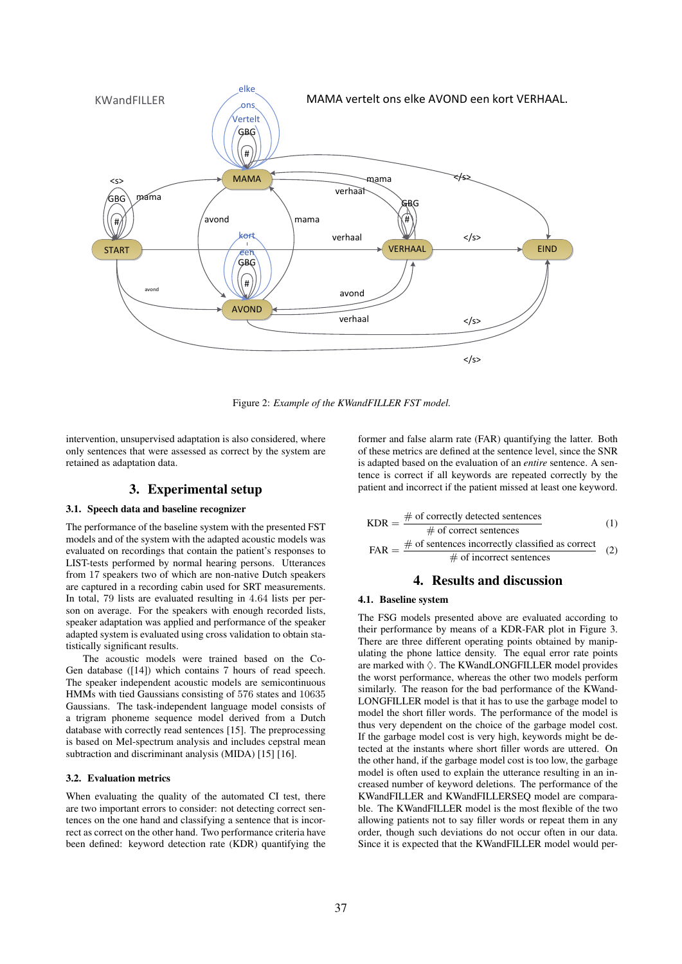

Figure 2: *Example of the KWandFILLER FST model.*

intervention, unsupervised adaptation is also considered, where only sentences that were assessed as correct by the system are retained as adaptation data.

## 3. Experimental setup

## 3.1. Speech data and baseline recognizer

The performance of the baseline system with the presented FST models and of the system with the adapted acoustic models was evaluated on recordings that contain the patient's responses to LIST-tests performed by normal hearing persons. Utterances from 17 speakers two of which are non-native Dutch speakers are captured in a recording cabin used for SRT measurements. In total, 79 lists are evaluated resulting in 4.64 lists per person on average. For the speakers with enough recorded lists, speaker adaptation was applied and performance of the speaker adapted system is evaluated using cross validation to obtain statistically significant results.

The acoustic models were trained based on the Co-Gen database ([14]) which contains 7 hours of read speech. The speaker independent acoustic models are semicontinuous HMMs with tied Gaussians consisting of 576 states and 10635 Gaussians. The task-independent language model consists of a trigram phoneme sequence model derived from a Dutch database with correctly read sentences [15]. The preprocessing is based on Mel-spectrum analysis and includes cepstral mean subtraction and discriminant analysis (MIDA) [15] [16].

### 3.2. Evaluation metrics

When evaluating the quality of the automated CI test, there are two important errors to consider: not detecting correct sentences on the one hand and classifying a sentence that is incorrect as correct on the other hand. Two performance criteria have been defined: keyword detection rate (KDR) quantifying the

former and false alarm rate (FAR) quantifying the latter. Both of these metrics are defined at the sentence level, since the SNR is adapted based on the evaluation of an *entire* sentence. A sentence is correct if all keywords are repeated correctly by the patient and incorrect if the patient missed at least one keyword.

$$
KDR = \frac{\text{\# of correctly detected sentences}}{\text{\# of correct sentences}}
$$
\n
$$
FAR = \frac{\text{\# of sentences incorrectly classified as correct}}{\text{\# of incorrect sentences}}
$$
\n(2)

## 4. Results and discussion

#### 4.1. Baseline system

The FSG models presented above are evaluated according to their performance by means of a KDR-FAR plot in Figure 3. There are three different operating points obtained by manipulating the phone lattice density. The equal error rate points are marked with  $\Diamond$ . The KWandLONGFILLER model provides the worst performance, whereas the other two models perform similarly. The reason for the bad performance of the KWand-LONGFILLER model is that it has to use the garbage model to model the short filler words. The performance of the model is thus very dependent on the choice of the garbage model cost. If the garbage model cost is very high, keywords might be detected at the instants where short filler words are uttered. On the other hand, if the garbage model cost is too low, the garbage model is often used to explain the utterance resulting in an increased number of keyword deletions. The performance of the KWandFILLER and KWandFILLERSEQ model are comparable. The KWandFILLER model is the most flexible of the two allowing patients not to say filler words or repeat them in any order, though such deviations do not occur often in our data. Since it is expected that the KWandFILLER model would per-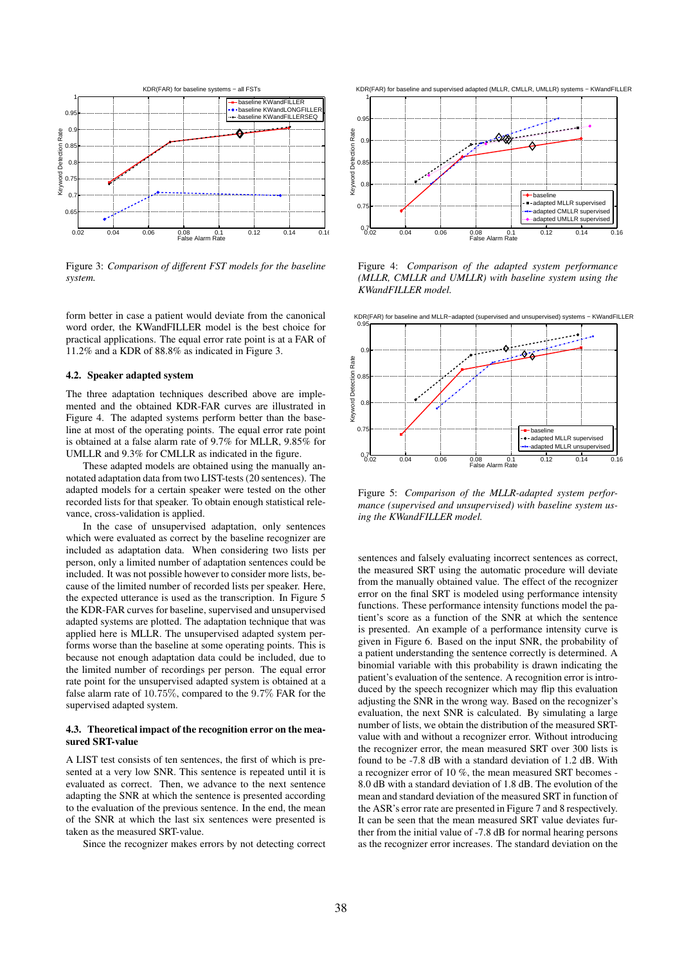

Figure 3: *Comparison of different FST models for the baseline system.*

form better in case a patient would deviate from the canonical word order, the KWandFILLER model is the best choice for practical applications. The equal error rate point is at a FAR of 11.2% and a KDR of 88.8% as indicated in Figure 3.

#### 4.2. Speaker adapted system

The three adaptation techniques described above are implemented and the obtained KDR-FAR curves are illustrated in Figure 4. The adapted systems perform better than the baseline at most of the operating points. The equal error rate point is obtained at a false alarm rate of 9.7% for MLLR, 9.85% for UMLLR and 9.3% for CMLLR as indicated in the figure.

These adapted models are obtained using the manually annotated adaptation data from two LIST-tests (20 sentences). The adapted models for a certain speaker were tested on the other recorded lists for that speaker. To obtain enough statistical relevance, cross-validation is applied.

In the case of unsupervised adaptation, only sentences which were evaluated as correct by the baseline recognizer are included as adaptation data. When considering two lists per person, only a limited number of adaptation sentences could be included. It was not possible however to consider more lists, because of the limited number of recorded lists per speaker. Here, the expected utterance is used as the transcription. In Figure 5 the KDR-FAR curves for baseline, supervised and unsupervised adapted systems are plotted. The adaptation technique that was applied here is MLLR. The unsupervised adapted system performs worse than the baseline at some operating points. This is because not enough adaptation data could be included, due to the limited number of recordings per person. The equal error rate point for the unsupervised adapted system is obtained at a false alarm rate of 10.75%, compared to the 9.7% FAR for the supervised adapted system.

### 4.3. Theoretical impact of the recognition error on the measured SRT-value

A LIST test consists of ten sentences, the first of which is presented at a very low SNR. This sentence is repeated until it is evaluated as correct. Then, we advance to the next sentence adapting the SNR at which the sentence is presented according to the evaluation of the previous sentence. In the end, the mean of the SNR at which the last six sentences were presented is taken as the measured SRT-value.

Since the recognizer makes errors by not detecting correct



Figure 4: *Comparison of the adapted system performance (MLLR, CMLLR and UMLLR) with baseline system using the KWandFILLER model.*



Figure 5: *Comparison of the MLLR-adapted system performance (supervised and unsupervised) with baseline system using the KWandFILLER model.*

sentences and falsely evaluating incorrect sentences as correct, the measured SRT using the automatic procedure will deviate from the manually obtained value. The effect of the recognizer error on the final SRT is modeled using performance intensity functions. These performance intensity functions model the patient's score as a function of the SNR at which the sentence is presented. An example of a performance intensity curve is given in Figure 6. Based on the input SNR, the probability of a patient understanding the sentence correctly is determined. A binomial variable with this probability is drawn indicating the patient's evaluation of the sentence. A recognition error is introduced by the speech recognizer which may flip this evaluation adjusting the SNR in the wrong way. Based on the recognizer's evaluation, the next SNR is calculated. By simulating a large number of lists, we obtain the distribution of the measured SRTvalue with and without a recognizer error. Without introducing the recognizer error, the mean measured SRT over 300 lists is found to be -7.8 dB with a standard deviation of 1.2 dB. With a recognizer error of 10 %, the mean measured SRT becomes - 8.0 dB with a standard deviation of 1.8 dB. The evolution of the mean and standard deviation of the measured SRT in function of the ASR's error rate are presented in Figure 7 and 8 respectively. It can be seen that the mean measured SRT value deviates further from the initial value of -7.8 dB for normal hearing persons as the recognizer error increases. The standard deviation on the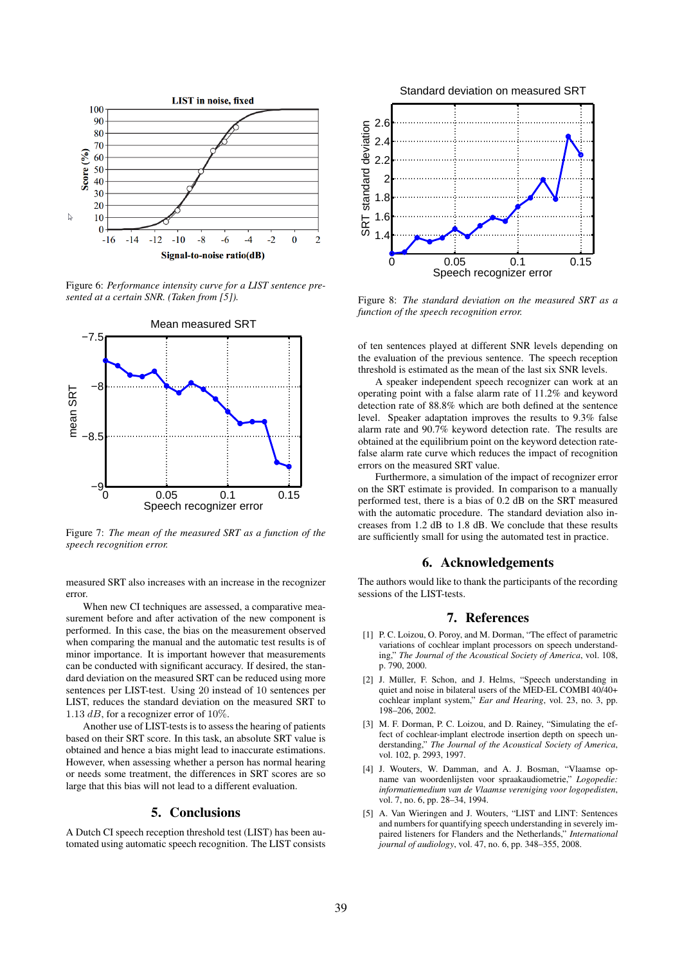

Figure 6: *Performance intensity curve for a LIST sentence presented at a certain SNR. (Taken from [5]).*



Figure 7: *The mean of the measured SRT as a function of the speech recognition error.*

measured SRT also increases with an increase in the recognizer error.

When new CI techniques are assessed, a comparative measurement before and after activation of the new component is performed. In this case, the bias on the measurement observed when comparing the manual and the automatic test results is of minor importance. It is important however that measurements can be conducted with significant accuracy. If desired, the standard deviation on the measured SRT can be reduced using more sentences per LIST-test. Using 20 instead of 10 sentences per LIST, reduces the standard deviation on the measured SRT to 1.13  $dB$ , for a recognizer error of 10%.

Another use of LIST-tests is to assess the hearing of patients based on their SRT score. In this task, an absolute SRT value is obtained and hence a bias might lead to inaccurate estimations. However, when assessing whether a person has normal hearing or needs some treatment, the differences in SRT scores are so large that this bias will not lead to a different evaluation.

## 5. Conclusions

A Dutch CI speech reception threshold test (LIST) has been automated using automatic speech recognition. The LIST consists



Figure 8: *The standard deviation on the measured SRT as a function of the speech recognition error.*

of ten sentences played at different SNR levels depending on the evaluation of the previous sentence. The speech reception threshold is estimated as the mean of the last six SNR levels.

A speaker independent speech recognizer can work at an operating point with a false alarm rate of 11.2% and keyword detection rate of 88.8% which are both defined at the sentence level. Speaker adaptation improves the results to 9.3% false alarm rate and 90.7% keyword detection rate. The results are obtained at the equilibrium point on the keyword detection ratefalse alarm rate curve which reduces the impact of recognition errors on the measured SRT value.

Furthermore, a simulation of the impact of recognizer error on the SRT estimate is provided. In comparison to a manually performed test, there is a bias of 0.2 dB on the SRT measured with the automatic procedure. The standard deviation also increases from 1.2 dB to 1.8 dB. We conclude that these results are sufficiently small for using the automated test in practice.

## 6. Acknowledgements

The authors would like to thank the participants of the recording sessions of the LIST-tests.

## 7. References

- [1] P. C. Loizou, O. Poroy, and M. Dorman, "The effect of parametric variations of cochlear implant processors on speech understanding," *The Journal of the Acoustical Society of America*, vol. 108, p. 790, 2000.
- [2] J. Müller, F. Schon, and J. Helms, "Speech understanding in quiet and noise in bilateral users of the MED-EL COMBI 40/40+ cochlear implant system," *Ear and Hearing*, vol. 23, no. 3, pp. 198–206, 2002.
- [3] M. F. Dorman, P. C. Loizou, and D. Rainey, "Simulating the effect of cochlear-implant electrode insertion depth on speech understanding," *The Journal of the Acoustical Society of America*, vol. 102, p. 2993, 1997.
- [4] J. Wouters, W. Damman, and A. J. Bosman, "Vlaamse opname van woordenlijsten voor spraakaudiometrie," *Logopedie: informatiemedium van de Vlaamse vereniging voor logopedisten*, vol. 7, no. 6, pp. 28–34, 1994.
- [5] A. Van Wieringen and J. Wouters, "LIST and LINT: Sentences and numbers for quantifying speech understanding in severely impaired listeners for Flanders and the Netherlands," *International journal of audiology*, vol. 47, no. 6, pp. 348–355, 2008.